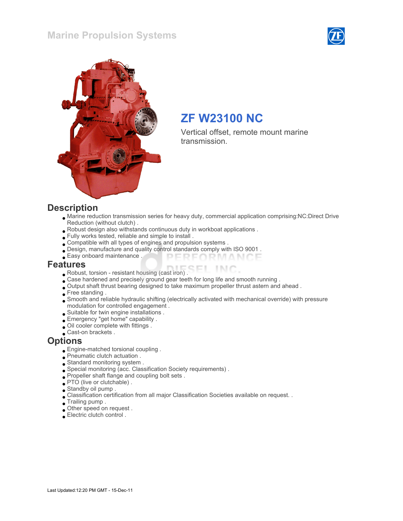#### Marine Propulsion Systems





# ZF W23100 NC

Vertical offset, remote mount marine transmission.

#### **Description**

- Marine reduction transmission series for heavy duty, commercial application comprising:NC:Direct Drive Reduction (without clutch) .
- Robust design also withstands continuous duty in workboat applications .
- Fully works tested, reliable and simple to install .
- Compatible with all types of engines and propulsion systems .
- Design, manufacture and quality control standards comply with ISO 9001 .
- Easy onboard maintenance . PERFORMANCE

#### Features

- Robust, torsion resistant housing (cast iron) .
- Case hardened and precisely ground gear teeth for long life and smooth running .
- Output shaft thrust bearing designed to take maximum propeller thrust astern and ahead .
- Free standing .
- Smooth and reliable hydraulic shifting (electrically activated with mechanical override) with pressure modulation for controlled engagement .
- Suitable for twin engine installations .
- Emergency "get home" capability .
- Oil cooler complete with fittings .
- Cast-on brackets .

#### **Options**

- Engine-matched torsional coupling .
- Pneumatic clutch actuation .
- Standard monitoring system .
- Special monitoring (acc. Classification Society requirements) .
- Propeller shaft flange and coupling bolt sets .
- PTO (live or clutchable) .
- Standby oil pump .
- Classification certification from all major Classification Societies available on request. .
- Trailing pump .
- Other speed on request .
- Electric clutch control .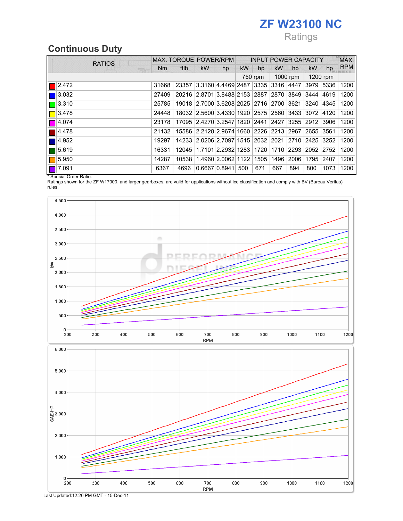# ZF W23100 NC

# Ratings

# Continuous Duty

| <b>RATIOS</b> | MAX. TORQUE POWER/RPM |       |                                                   |    | <b>INPUT POWER CAPACITY</b> |     |           |     |           |                | MAX.       |
|---------------|-----------------------|-------|---------------------------------------------------|----|-----------------------------|-----|-----------|-----|-----------|----------------|------------|
| <b>REAR</b>   | Nm.                   | ftlb  | kW                                                | hp | <b>kW</b>                   | hp  | <b>kW</b> | hp  | kW        | hp             | <b>RPM</b> |
|               |                       |       |                                                   |    | 750 rpm                     |     | 1000 rpm  |     | 1200 rpm  |                |            |
| 2.472         | 31668                 | 23357 | 3.3160 4.4469 2487  3335  3316  4447              |    |                             |     |           |     | 3979 5336 |                | 1200       |
| 3.032         | 27409                 |       | 20216 2.8701 3.8488 2153 2887 2870 3849 3444 4619 |    |                             |     |           |     |           |                | 1200       |
| 13.310        | 25785                 |       | 19018 2.7000 3.6208 2025 2716 2700 3621 3240      |    |                             |     |           |     |           | 4345           | 1200       |
| 3.478         | 24448                 |       | 18032 2.5600 3.4330 1920 2575 2560 3433 3072      |    |                             |     |           |     |           | 4120           | 1200       |
| 4.074         | 23178                 |       | 17095 2.4270 3.2547 1820 2441 2427 3255 2912      |    |                             |     |           |     |           | 3906           | 1200       |
| 4.478         | 21132                 |       | 15586 2.2128 2.9674 1660 2226 2213 2967 2655      |    |                             |     |           |     |           | 3561           | 1200       |
| 4.952         | 19297                 |       | 14233 2.0206 2.7097 1515 2032 2021 2710 2425      |    |                             |     |           |     |           | $ 3252\rangle$ | 1200       |
| 5.619         | 16331                 |       | 12045 1.7101 2.2932 1283 1720 1710 2293 2052      |    |                             |     |           |     |           | $ 2752\rangle$ | 1200       |
| 5.950         | 14287                 |       | 10538 1.4960 2.0062 1122 1505 1496 2006           |    |                             |     |           |     | 1795      | 2407           | 1200       |
| 7.091         | 6367                  | 4696  | 0.6667 0.8941                                     |    | 500                         | 671 | 667       | 894 | 800       | 1073           | 1200       |

\* Special Order Ratio.

Ratings shown for the ZF W17000, and larger gearboxes, are valid for applications without ice classification and comply with BV (Bureau Veritas) rules.



Last Updated:12:20 PM GMT - 15-Dec-11

300

400

500

600

700

**RPM** 

800

900

1000

1100

1200

 $2.000$ 

 $1.000$ 

 $\mathbf 0$  -200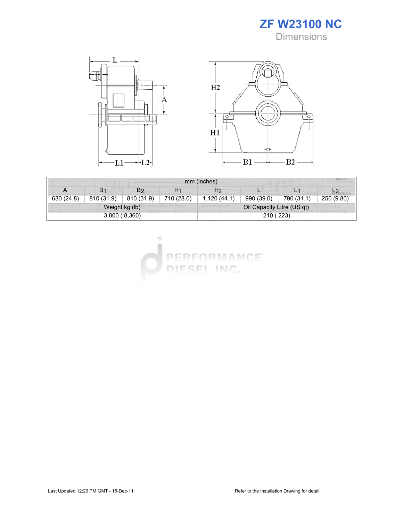



| mm (inches)    |                |                |                            |             |            |                |            |  |  |
|----------------|----------------|----------------|----------------------------|-------------|------------|----------------|------------|--|--|
| А              | B <sub>1</sub> | B <sub>2</sub> | H <sub>1</sub>             | H2          |            | L <sub>1</sub> |            |  |  |
| 630 (24.8)     | 810 (31.9)     | 810 (31.9)     | 710 (28.0)                 | 1,120(44.1) | 990 (39.0) | 790 (31.1)     | 250 (9.80) |  |  |
| Weight kg (lb) |                |                | Oil Capacity Litre (US qt) |             |            |                |            |  |  |
| 3,800(8,360)   |                |                |                            | 210 (223)   |            |                |            |  |  |

u PERFORMANCE DIESEL INC.

 $\alpha$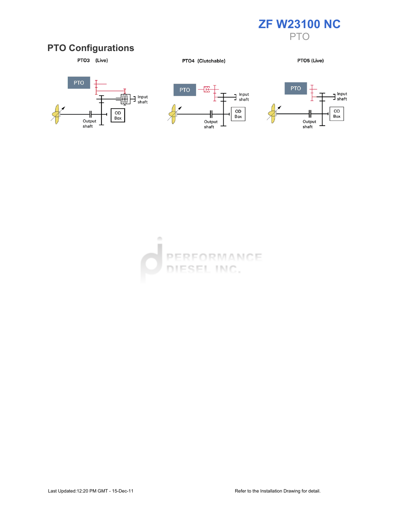

### PTO Configurations



PTO4 (Clutchable)

PTO5 (Live)